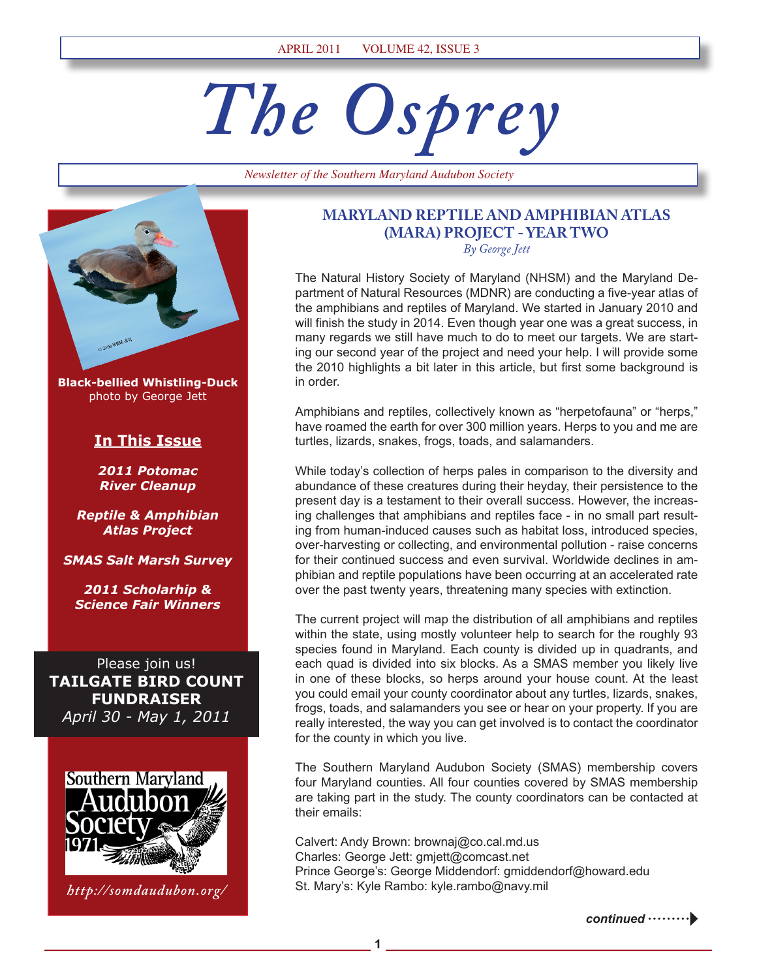# *The Osprey*

*Newsletter of the Southern Maryland Audubon Society*



**Black-bellied Whistling-Duck** photo by George Jett

### **In This Issue**

*2011 Potomac River Cleanup*

*Reptile & Amphibian Atlas Project*

*SMAS Salt Marsh Survey*

*2011 Scholarhip & Science Fair Winners*

Please join us! **TAILGATE BIRD COUNT FUNDRAISER** *April 30 - May 1, 2011*



*http://somdaudubon.org/*

# **MARYLAND REPTILE AND AMPHIBIAN ATLAS (MARA) PROJECT - YEAR TWO**

*By George Jett*

The Natural History Society of Maryland (NHSM) and the Maryland Department of Natural Resources (MDNR) are conducting a five-year atlas of the amphibians and reptiles of Maryland. We started in January 2010 and will finish the study in 2014. Even though year one was a great success, in many regards we still have much to do to meet our targets. We are starting our second year of the project and need your help. I will provide some the 2010 highlights a bit later in this article, but first some background is in order.

Amphibians and reptiles, collectively known as "herpetofauna" or "herps," have roamed the earth for over 300 million years. Herps to you and me are turtles, lizards, snakes, frogs, toads, and salamanders.

While today's collection of herps pales in comparison to the diversity and abundance of these creatures during their heyday, their persistence to the present day is a testament to their overall success. However, the increasing challenges that amphibians and reptiles face - in no small part resulting from human-induced causes such as habitat loss, introduced species, over-harvesting or collecting, and environmental pollution - raise concerns for their continued success and even survival. Worldwide declines in amphibian and reptile populations have been occurring at an accelerated rate over the past twenty years, threatening many species with extinction.

The current project will map the distribution of all amphibians and reptiles within the state, using mostly volunteer help to search for the roughly 93 species found in Maryland. Each county is divided up in quadrants, and each quad is divided into six blocks. As a SMAS member you likely live in one of these blocks, so herps around your house count. At the least you could email your county coordinator about any turtles, lizards, snakes, frogs, toads, and salamanders you see or hear on your property. If you are really interested, the way you can get involved is to contact the coordinator for the county in which you live.

The Southern Maryland Audubon Society (SMAS) membership covers four Maryland counties. All four counties covered by SMAS membership are taking part in the study. The county coordinators can be contacted at their emails:

Calvert: Andy Brown: brownaj@co.cal.md.us Charles: George Jett: gmjett@comcast.net Prince George's: George Middendorf: gmiddendorf@howard.edu St. Mary's: Kyle Rambo: kyle.rambo@navy.mil

**1**

*continued*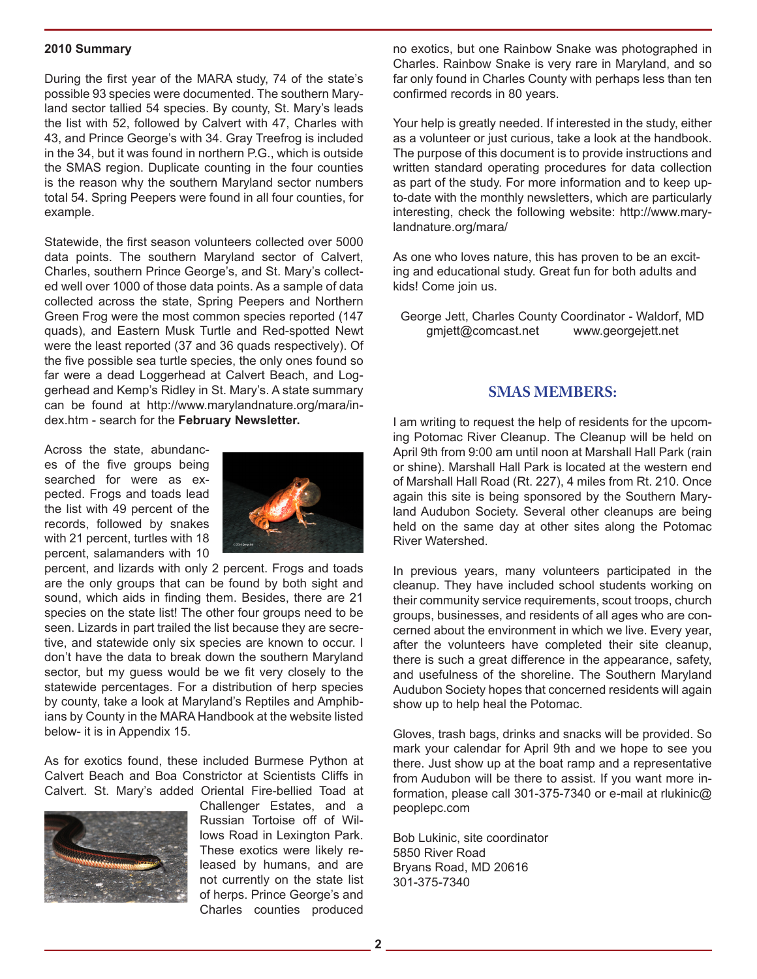#### **2010 Summary**

During the first year of the MARA study, 74 of the state's possible 93 species were documented. The southern Maryland sector tallied 54 species. By county, St. Mary's leads the list with 52, followed by Calvert with 47, Charles with 43, and Prince George's with 34. Gray Treefrog is included in the 34, but it was found in northern P.G., which is outside the SMAS region. Duplicate counting in the four counties is the reason why the southern Maryland sector numbers total 54. Spring Peepers were found in all four counties, for example.

Statewide, the first season volunteers collected over 5000 data points. The southern Maryland sector of Calvert, Charles, southern Prince George's, and St. Mary's collected well over 1000 of those data points. As a sample of data collected across the state, Spring Peepers and Northern Green Frog were the most common species reported (147 quads), and Eastern Musk Turtle and Red-spotted Newt were the least reported (37 and 36 quads respectively). Of the five possible sea turtle species, the only ones found so far were a dead Loggerhead at Calvert Beach, and Loggerhead and Kemp's Ridley in St. Mary's. A state summary can be found at http://www.marylandnature.org/mara/index.htm - search for the **February Newsletter.**

Across the state, abundances of the five groups being searched for were as expected. Frogs and toads lead the list with 49 percent of the records, followed by snakes with 21 percent, turtles with 18 percent, salamanders with 10



percent, and lizards with only 2 percent. Frogs and toads are the only groups that can be found by both sight and sound, which aids in finding them. Besides, there are 21 species on the state list! The other four groups need to be seen. Lizards in part trailed the list because they are secretive, and statewide only six species are known to occur. I don't have the data to break down the southern Maryland sector, but my guess would be we fit very closely to the statewide percentages. For a distribution of herp species by county, take a look at Maryland's Reptiles and Amphibians by County in the MARA Handbook at the website listed below- it is in Appendix 15.

As for exotics found, these included Burmese Python at Calvert Beach and Boa Constrictor at Scientists Cliffs in Calvert. St. Mary's added Oriental Fire-bellied Toad at



Challenger Estates, and a Russian Tortoise off of Willows Road in Lexington Park. These exotics were likely released by humans, and are not currently on the state list of herps. Prince George's and Charles counties produced

no exotics, but one Rainbow Snake was photographed in Charles. Rainbow Snake is very rare in Maryland, and so far only found in Charles County with perhaps less than ten confirmed records in 80 years.

Your help is greatly needed. If interested in the study, either as a volunteer or just curious, take a look at the handbook. The purpose of this document is to provide instructions and written standard operating procedures for data collection as part of the study. For more information and to keep upto-date with the monthly newsletters, which are particularly interesting, check the following website: http://www.marylandnature.org/mara/

As one who loves nature, this has proven to be an exciting and educational study. Great fun for both adults and kids! Come join us.

George Jett, Charles County Coordinator - Waldorf, MD gmjett@comcast.net www.georgejett.net

#### **SMAS MEMBERS:**

I am writing to request the help of residents for the upcoming Potomac River Cleanup. The Cleanup will be held on April 9th from 9:00 am until noon at Marshall Hall Park (rain or shine). Marshall Hall Park is located at the western end of Marshall Hall Road (Rt. 227), 4 miles from Rt. 210. Once again this site is being sponsored by the Southern Maryland Audubon Society. Several other cleanups are being held on the same day at other sites along the Potomac River Watershed.

In previous years, many volunteers participated in the cleanup. They have included school students working on their community service requirements, scout troops, church groups, businesses, and residents of all ages who are concerned about the environment in which we live. Every year, after the volunteers have completed their site cleanup, there is such a great difference in the appearance, safety, and usefulness of the shoreline. The Southern Maryland Audubon Society hopes that concerned residents will again show up to help heal the Potomac.

Gloves, trash bags, drinks and snacks will be provided. So mark your calendar for April 9th and we hope to see you there. Just show up at the boat ramp and a representative from Audubon will be there to assist. If you want more information, please call 301-375-7340 or e-mail at rlukinic@ peoplepc.com

Bob Lukinic, site coordinator 5850 River Road Bryans Road, MD 20616 301-375-7340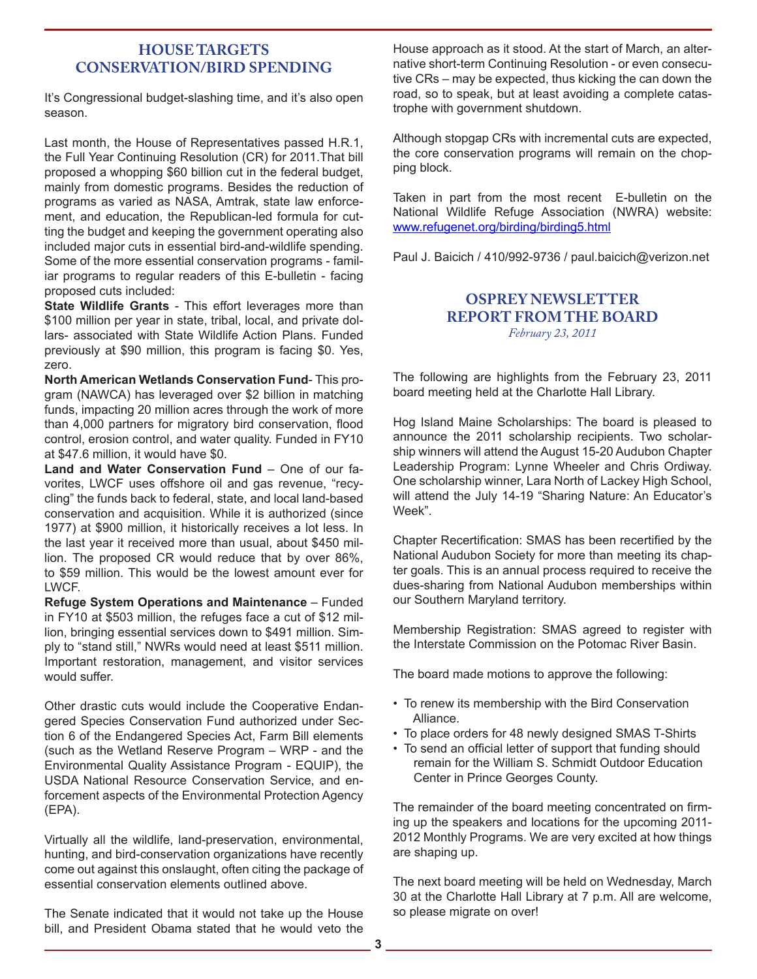#### **HOUSE TARGETS CONSERVATION/BIRD SPENDING**

It's Congressional budget-slashing time, and it's also open season.

Last month, the House of Representatives passed H.R.1, the Full Year Continuing Resolution (CR) for 2011.That bill proposed a whopping \$60 billion cut in the federal budget, mainly from domestic programs. Besides the reduction of programs as varied as NASA, Amtrak, state law enforcement, and education, the Republican-led formula for cutting the budget and keeping the government operating also included major cuts in essential bird-and-wildlife spending. Some of the more essential conservation programs - familiar programs to regular readers of this E-bulletin - facing proposed cuts included:

**State Wildlife Grants** - This effort leverages more than \$100 million per year in state, tribal, local, and private dollars- associated with State Wildlife Action Plans. Funded previously at \$90 million, this program is facing \$0. Yes, zero.

**North American Wetlands Conservation Fund**- This program (NAWCA) has leveraged over \$2 billion in matching funds, impacting 20 million acres through the work of more than 4,000 partners for migratory bird conservation, flood control, erosion control, and water quality. Funded in FY10 at \$47.6 million, it would have \$0.

**Land and Water Conservation Fund** – One of our favorites, LWCF uses offshore oil and gas revenue, "recycling" the funds back to federal, state, and local land-based conservation and acquisition. While it is authorized (since 1977) at \$900 million, it historically receives a lot less. In the last year it received more than usual, about \$450 million. The proposed CR would reduce that by over 86%, to \$59 million. This would be the lowest amount ever for LWCF.

**Refuge System Operations and Maintenance** – Funded in FY10 at \$503 million, the refuges face a cut of \$12 million, bringing essential services down to \$491 million. Simply to "stand still," NWRs would need at least \$511 million. Important restoration, management, and visitor services would suffer.

Other drastic cuts would include the Cooperative Endangered Species Conservation Fund authorized under Section 6 of the Endangered Species Act, Farm Bill elements (such as the Wetland Reserve Program – WRP - and the Environmental Quality Assistance Program - EQUIP), the USDA National Resource Conservation Service, and enforcement aspects of the Environmental Protection Agency (EPA).

Virtually all the wildlife, land-preservation, environmental, hunting, and bird-conservation organizations have recently come out against this onslaught, often citing the package of essential conservation elements outlined above.

The Senate indicated that it would not take up the House bill, and President Obama stated that he would veto the

House approach as it stood. At the start of March, an alternative short-term Continuing Resolution - or even consecutive CRs – may be expected, thus kicking the can down the road, so to speak, but at least avoiding a complete catastrophe with government shutdown.

Although stopgap CRs with incremental cuts are expected, the core conservation programs will remain on the chopping block.

Taken in part from the most recent E-bulletin on the National Wildlife Refuge Association (NWRA) website: www.refugenet.org/birding/birding5.html

Paul J. Baicich / 410/992-9736 / paul.baicich@verizon.net

#### **OSPREY NEWSLETTER REPORT FROM THE BOARD** *February 23, 2011*

The following are highlights from the February 23, 2011 board meeting held at the Charlotte Hall Library.

Hog Island Maine Scholarships: The board is pleased to announce the 2011 scholarship recipients. Two scholarship winners will attend the August 15-20 Audubon Chapter Leadership Program: Lynne Wheeler and Chris Ordiway. One scholarship winner, Lara North of Lackey High School, will attend the July 14-19 "Sharing Nature: An Educator's Week".

Chapter Recertification: SMAS has been recertified by the National Audubon Society for more than meeting its chapter goals. This is an annual process required to receive the dues-sharing from National Audubon memberships within our Southern Maryland territory.

Membership Registration: SMAS agreed to register with the Interstate Commission on the Potomac River Basin.

The board made motions to approve the following:

- To renew its membership with the Bird Conservation Alliance.
- To place orders for 48 newly designed SMAS T-Shirts
- To send an official letter of support that funding should remain for the William S. Schmidt Outdoor Education Center in Prince Georges County.

The remainder of the board meeting concentrated on firming up the speakers and locations for the upcoming 2011- 2012 Monthly Programs. We are very excited at how things are shaping up.

The next board meeting will be held on Wednesday, March 30 at the Charlotte Hall Library at 7 p.m. All are welcome, so please migrate on over!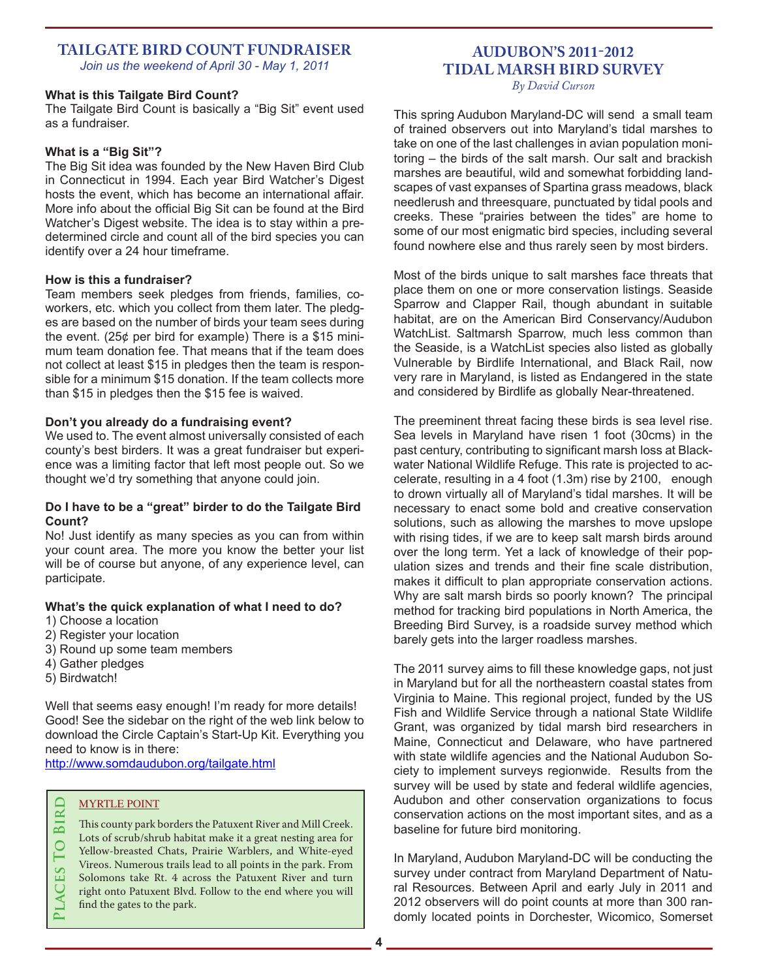#### **TAILGATE BIRD COUNT FUNDRAISER** *Join us the weekend of April 30 - May 1, 2011*

#### **What is this Tailgate Bird Count?**

The Tailgate Bird Count is basically a "Big Sit" event used as a fundraiser.

#### **What is a "Big Sit"?**

The Big Sit idea was founded by the New Haven Bird Club in Connecticut in 1994. Each year Bird Watcher's Digest hosts the event, which has become an international affair. More info about the official Big Sit can be found at the Bird Watcher's Digest website. The idea is to stay within a predetermined circle and count all of the bird species you can identify over a 24 hour timeframe.

#### **How is this a fundraiser?**

Team members seek pledges from friends, families, coworkers, etc. which you collect from them later. The pledges are based on the number of birds your team sees during the event. (25¢ per bird for example) There is a \$15 minimum team donation fee. That means that if the team does not collect at least \$15 in pledges then the team is responsible for a minimum \$15 donation. If the team collects more than \$15 in pledges then the \$15 fee is waived.

#### **Don't you already do a fundraising event?**

We used to. The event almost universally consisted of each county's best birders. It was a great fundraiser but experience was a limiting factor that left most people out. So we thought we'd try something that anyone could join.

#### **Do I have to be a "great" birder to do the Tailgate Bird Count?**

No! Just identify as many species as you can from within your count area. The more you know the better your list will be of course but anyone, of any experience level, can participate.

#### **What's the quick explanation of what I need to do?**

- 1) Choose a location
- 2) Register your location
- 3) Round up some team members
- 4) Gather pledges
- 5) Birdwatch!

Well that seems easy enough! I'm ready for more details! Good! See the sidebar on the right of the web link below to download the Circle Captain's Start-Up Kit. Everything you need to know is in there:

http://www.somdaudubon.org/tailgate.html

#### MYRTLE POINT

This county park borders the Patuxent River and Mill Creek.<br>
Lots of scrub/shrub habitat make it a great nesting area for<br>
Yellow-breasted Chats, Prairie Warblers, and White-eyed<br>
Vireos. Numerous trails lead to all points Lots of scrub/shrub habitat make it a great nesting area for Yellow-breasted Chats, Prairie Warblers, and White-eyed Vireos. Numerous trails lead to all points in the park. From Solomons take Rt. 4 across the Patuxent River and turn right onto Patuxent Blvd. Follow to the end where you will find the gates to the park.

# **AUDUBON'S 2011-2012 TIDAL MARSH BIRD SURVEY**

*By David Curson*

This spring Audubon Maryland-DC will send a small team of trained observers out into Maryland's tidal marshes to take on one of the last challenges in avian population monitoring – the birds of the salt marsh. Our salt and brackish marshes are beautiful, wild and somewhat forbidding landscapes of vast expanses of Spartina grass meadows, black needlerush and threesquare, punctuated by tidal pools and creeks. These "prairies between the tides" are home to some of our most enigmatic bird species, including several found nowhere else and thus rarely seen by most birders.

Most of the birds unique to salt marshes face threats that place them on one or more conservation listings. Seaside Sparrow and Clapper Rail, though abundant in suitable habitat, are on the American Bird Conservancy/Audubon WatchList. Saltmarsh Sparrow, much less common than the Seaside, is a WatchList species also listed as globally Vulnerable by Birdlife International, and Black Rail, now very rare in Maryland, is listed as Endangered in the state and considered by Birdlife as globally Near-threatened.

The preeminent threat facing these birds is sea level rise. Sea levels in Maryland have risen 1 foot (30cms) in the past century, contributing to significant marsh loss at Blackwater National Wildlife Refuge. This rate is projected to accelerate, resulting in a 4 foot (1.3m) rise by 2100, enough to drown virtually all of Maryland's tidal marshes. It will be necessary to enact some bold and creative conservation solutions, such as allowing the marshes to move upslope with rising tides, if we are to keep salt marsh birds around over the long term. Yet a lack of knowledge of their population sizes and trends and their fine scale distribution, makes it difficult to plan appropriate conservation actions. Why are salt marsh birds so poorly known? The principal method for tracking bird populations in North America, the Breeding Bird Survey, is a roadside survey method which barely gets into the larger roadless marshes.

The 2011 survey aims to fill these knowledge gaps, not just in Maryland but for all the northeastern coastal states from Virginia to Maine. This regional project, funded by the US Fish and Wildlife Service through a national State Wildlife Grant, was organized by tidal marsh bird researchers in Maine, Connecticut and Delaware, who have partnered with state wildlife agencies and the National Audubon Society to implement surveys regionwide. Results from the survey will be used by state and federal wildlife agencies, Audubon and other conservation organizations to focus conservation actions on the most important sites, and as a baseline for future bird monitoring.

In Maryland, Audubon Maryland-DC will be conducting the survey under contract from Maryland Department of Natural Resources. Between April and early July in 2011 and 2012 observers will do point counts at more than 300 randomly located points in Dorchester, Wicomico, Somerset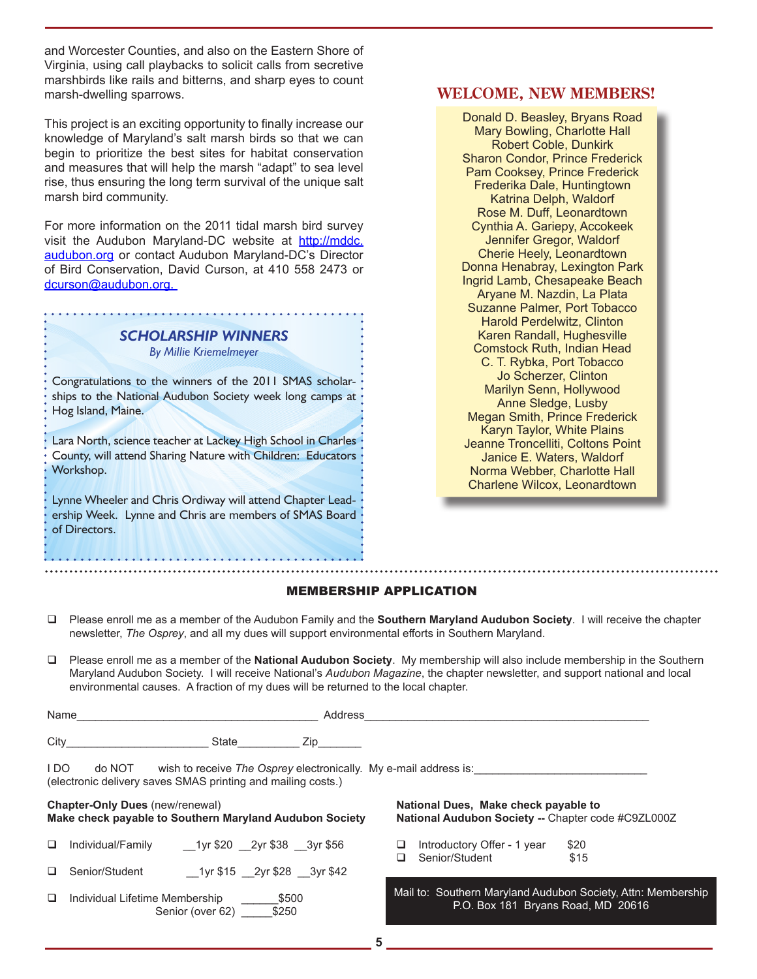and Worcester Counties, and also on the Eastern Shore of Virginia, using call playbacks to solicit calls from secretive marshbirds like rails and bitterns, and sharp eyes to count marsh-dwelling sparrows.

This project is an exciting opportunity to finally increase our knowledge of Maryland's salt marsh birds so that we can begin to prioritize the best sites for habitat conservation and measures that will help the marsh "adapt" to sea level rise, thus ensuring the long term survival of the unique salt marsh bird community.

For more information on the 2011 tidal marsh bird survey visit the Audubon Maryland-DC website at http://mddc. audubon.org or contact Audubon Maryland-DC's Director of Bird Conservation, David Curson, at 410 558 2473 or dcurson@audubon.org.

# *SCHOLARSHIP WINNERS*

*By Millie Kriemelmeyer*

Congratulations to the winners of the 2011 SMAS scholarships to the National Audubon Society week long camps at ' Hog Island, Maine.

Lara North, science teacher at Lackey High School in Charles County, will attend Sharing Nature with Children: Educators Workshop.

Lynne Wheeler and Chris Ordiway will attend Chapter Leadership Week. Lynne and Chris are members of SMAS Board of Directors.

Senior (over 62) \_\_\_\_\_\_\$250

#### **WELCOME, NEW MEMBERS!**

Donald D. Beasley, Bryans Road Mary Bowling, Charlotte Hall Robert Coble, Dunkirk Sharon Condor, Prince Frederick Pam Cooksey, Prince Frederick Frederika Dale, Huntingtown Katrina Delph, Waldorf Rose M. Duff, Leonardtown Cynthia A. Gariepy, Accokeek Jennifer Gregor, Waldorf Cherie Heely, Leonardtown Donna Henabray, Lexington Park Ingrid Lamb, Chesapeake Beach Aryane M. Nazdin, La Plata Suzanne Palmer, Port Tobacco Harold Perdelwitz, Clinton Karen Randall, Hughesville Comstock Ruth, Indian Head C. T. Rybka, Port Tobacco Jo Scherzer, Clinton Marilyn Senn, Hollywood Anne Sledge, Lusby Megan Smith, Prince Frederick Karyn Taylor, White Plains Jeanne Troncelliti, Coltons Point Janice E. Waters, Waldorf Norma Webber, Charlotte Hall Charlene Wilcox, Leonardtown

#### MEMBERSHIP APPLICATION

- Please enroll me as a member of the Audubon Family and the **Southern Maryland Audubon Society**. I will receive the chapter newsletter, *The Osprey*, and all my dues will support environmental efforts in Southern Maryland.
- Please enroll me as a member of the **National Audubon Society**. My membership will also include membership in the Southern Maryland Audubon Society. I will receive National's *Audubon Magazine*, the chapter newsletter, and support national and local environmental causes. A fraction of my dues will be returned to the local chapter.

| Name _________ |                                                                                                                                                                                  |                            | Address                                                                        |                                                                                                    |                                                                                            |              |  |
|----------------|----------------------------------------------------------------------------------------------------------------------------------------------------------------------------------|----------------------------|--------------------------------------------------------------------------------|----------------------------------------------------------------------------------------------------|--------------------------------------------------------------------------------------------|--------------|--|
| City           |                                                                                                                                                                                  | State                      | Zip                                                                            |                                                                                                    |                                                                                            |              |  |
| I DO           | (electronic delivery saves SMAS printing and mailing costs.)                                                                                                                     |                            | do NOT wish to receive <i>The Osprey</i> electronically. My e-mail address is: |                                                                                                    |                                                                                            |              |  |
|                | <b>Chapter-Only Dues (new/renewal)</b><br>Make check payable to Southern Maryland Audubon Society                                                                                |                            |                                                                                |                                                                                                    | National Dues, Make check payable to<br>National Audubon Society -- Chapter code #C9ZL000Z |              |  |
|                | $\Box$ Individual/Family                                                                                                                                                         | 1yr \$20 2yr \$38 3yr \$56 |                                                                                |                                                                                                    | Introductory Offer - 1 year<br>Senior/Student                                              | \$20<br>\$15 |  |
|                | □ Senior/Student                                                                                                                                                                 | 1yr \$15 2yr \$28 3yr \$42 |                                                                                |                                                                                                    |                                                                                            |              |  |
|                | Individual Lifetime Membership<br>\$500<br>$\mathcal{L}_{\mathcal{L}}\mathcal{L}_{\mathcal{L}}$<br>$\bigcap$ - $\bigcup$ - $\bigcup$ - $\bigcap$ - $\bigcap$ $\bigcap$ $\bigcap$ |                            |                                                                                | Mail to: Southern Maryland Audubon Society, Attn: Membership<br>P.O. Box 181 Bryans Road, MD 20616 |                                                                                            |              |  |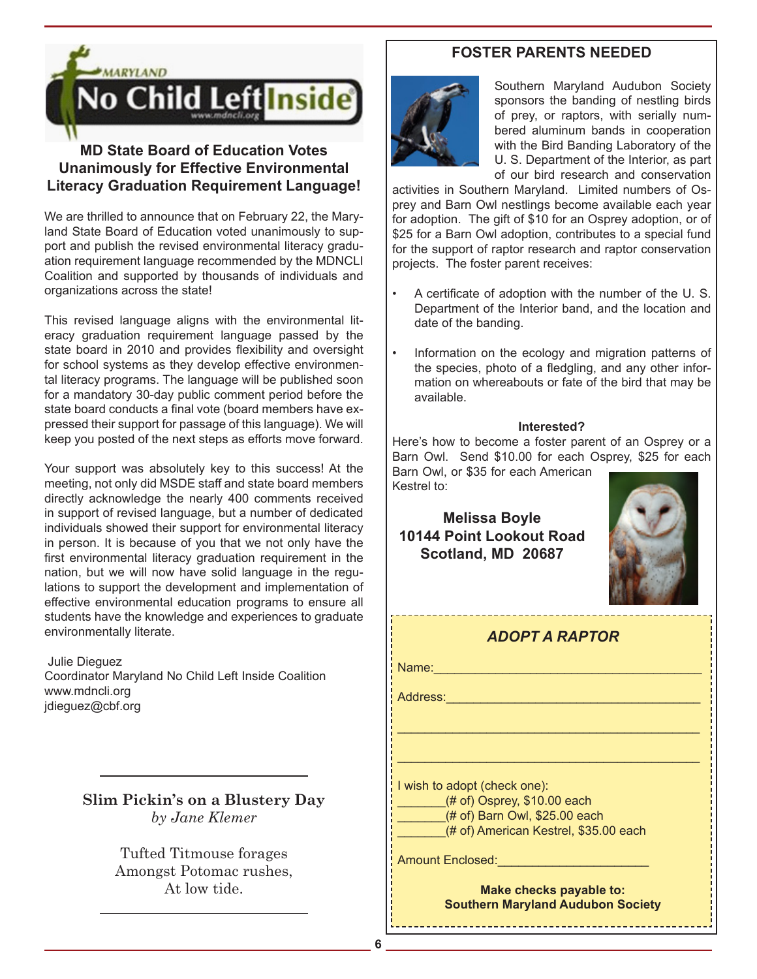

# **MD State Board of Education Votes Unanimously for Effective Environmental Literacy Graduation Requirement Language!**

We are thrilled to announce that on February 22, the Maryland State Board of Education voted unanimously to support and publish the revised environmental literacy graduation requirement language recommended by the MDNCLI Coalition and supported by thousands of individuals and organizations across the state!

This revised language aligns with the environmental literacy graduation requirement language passed by the state board in 2010 and provides flexibility and oversight for school systems as they develop effective environmental literacy programs. The language will be published soon for a mandatory 30-day public comment period before the state board conducts a final vote (board members have expressed their support for passage of this language). We will keep you posted of the next steps as efforts move forward.

Your support was absolutely key to this success! At the meeting, not only did MSDE staff and state board members directly acknowledge the nearly 400 comments received in support of revised language, but a number of dedicated individuals showed their support for environmental literacy in person. It is because of you that we not only have the first environmental literacy graduation requirement in the nation, but we will now have solid language in the regulations to support the development and implementation of effective environmental education programs to ensure all students have the knowledge and experiences to graduate environmentally literate.

 Julie Dieguez Coordinator Maryland No Child Left Inside Coalition www.mdncli.org jdieguez@cbf.org

> **Slim Pickin's on a Blustery Day** *by Jane Klemer*

> > Tufted Titmouse forages Amongst Potomac rushes, At low tide.

## **FOSTER PARENTS NEEDED**



Southern Maryland Audubon Society sponsors the banding of nestling birds of prey, or raptors, with serially numbered aluminum bands in cooperation with the Bird Banding Laboratory of the U. S. Department of the Interior, as part of our bird research and conservation

activities in Southern Maryland. Limited numbers of Osprey and Barn Owl nestlings become available each year for adoption. The gift of \$10 for an Osprey adoption, or of \$25 for a Barn Owl adoption, contributes to a special fund for the support of raptor research and raptor conservation projects. The foster parent receives:

- A certificate of adoption with the number of the U. S. Department of the Interior band, and the location and date of the banding.
- Information on the ecology and migration patterns of the species, photo of a fledgling, and any other information on whereabouts or fate of the bird that may be available.

#### **Interested?**

Here's how to become a foster parent of an Osprey or a Barn Owl. Send \$10.00 for each Osprey, \$25 for each Barn Owl, or \$35 for each American

Kestrel to:

# **Melissa Boyle 10144 Point Lookout Road Scotland, MD 20687**



| ADOPT A RAPTOR                                                      |  |  |  |  |
|---------------------------------------------------------------------|--|--|--|--|
| Name:                                                               |  |  |  |  |
| Address:                                                            |  |  |  |  |
|                                                                     |  |  |  |  |
|                                                                     |  |  |  |  |
| I wish to adopt (check one):                                        |  |  |  |  |
| $#$ of) Osprey, \$10.00 each<br>(# of) Barn Owl, \$25.00 each       |  |  |  |  |
| (# of) American Kestrel, \$35.00 each                               |  |  |  |  |
| Amount Enclosed:                                                    |  |  |  |  |
| Make checks payable to:<br><b>Southern Maryland Audubon Society</b> |  |  |  |  |

**6**